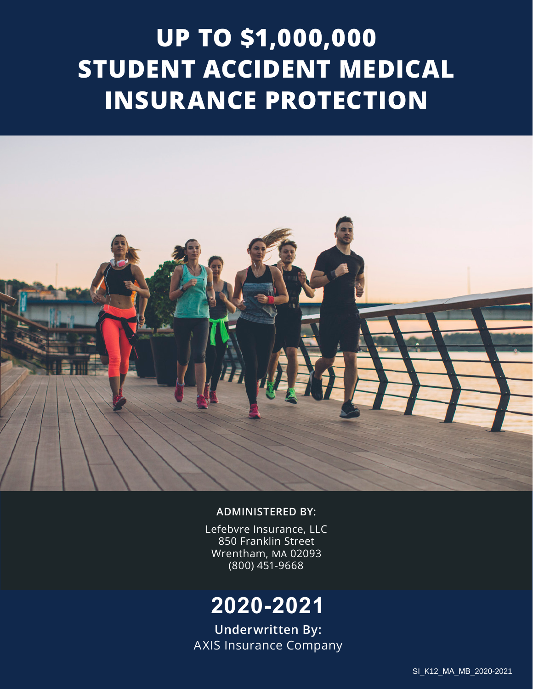# **UP TO \$1,000,000 STUDENT ACCIDENT MEDICAL INSURANCE PROTECTION**



#### **ADMINISTERED BY:**

Lefebvre Insurance, LLC 850 Franklin Street Wrentham, MA 02093 (800) 451-9668

# **2020-2021**

**Underwritten By:** AXIS Insurance Company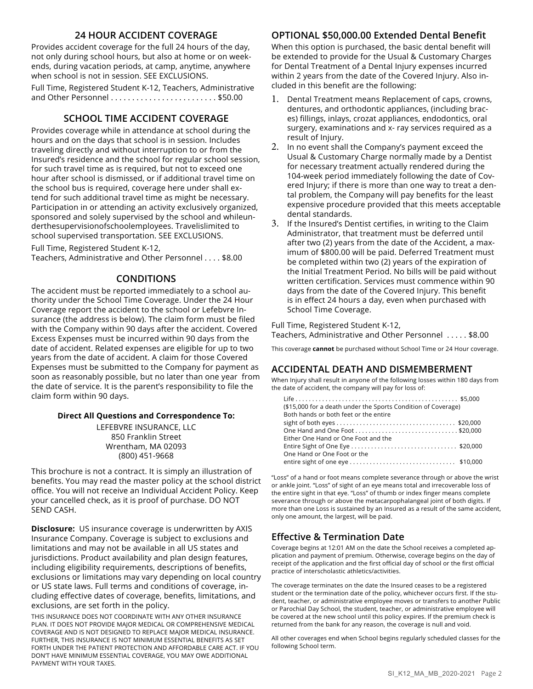#### **24 HOUR ACCIDENT COVERAGE**

Provides accident coverage for the full 24 hours of the day, not only during school hours, but also at home or on weekends, during vacation periods, at camp, anytime, anywhere when school is not in session. SEE EXCLUSIONS.

Full Time, Registered Student K-12, Teachers, Administrative and Other Personnel . . . . . . . . . . . . . . . . . . . . . . . . . \$50.00

#### **SCHOOL TIME ACCIDENT COVERAGE**

Provides coverage while in attendance at school during the hours and on the days that school is in session. Includes traveling directly and without interruption to or from the Insured's residence and the school for regular school session, for such travel time as is required, but not to exceed one hour after school is dismissed, or if additional travel time on the school bus is required, coverage here under shall extend for such additional travel time as might be necessary. Participation in or attending an activity exclusively organized, sponsored and solely supervised by the school and whileunderthesupervisionofschoolemployees. Travelislimited to school supervised transportation. SEE EXCLUSIONS.

Full Time, Registered Student K-12, Teachers, Administrative and Other Personnel . . . . \$8.00

#### **CONDITIONS**

The accident must be reported immediately to a school authority under the School Time Coverage. Under the 24 Hour Coverage report the accident to the school or Lefebvre Insurance (the address is below). The claim form must be filed with the Company within 90 days after the accident. Covered Excess Expenses must be incurred within 90 days from the date of accident. Related expenses are eligible for up to two years from the date of accident. A claim for those Covered Expenses must be submitted to the Company for payment as soon as reasonably possible, but no later than one year from the date of service. It is the parent's responsibility to file the claim form within 90 days.

#### **Direct All Questions and Correspondence To:**

LEFEBVRE INSURANCE, LLC 850 Franklin Street Wrentham, MA 02093 (800) 451-9668

This brochure is not a contract. It is simply an illustration of benefits. You may read the master policy at the school district office. You will not receive an Individual Accident Policy. Keep your cancelled check, as it is proof of purchase. DO NOT SEND CASH.

**Disclosure:** US insurance coverage is underwritten by AXIS Insurance Company. Coverage is subject to exclusions and limitations and may not be available in all US states and jurisdictions. Product availability and plan design features, including eligibility requirements, descriptions of benefits, exclusions or limitations may vary depending on local country or US state laws. Full terms and conditions of coverage, including effective dates of coverage, benefits, limitations, and exclusions, are set forth in the policy.

THIS INSURANCE DOES NOT COORDINATE WITH ANY OTHER INSURANCE PLAN. IT DOES NOT PROVIDE MAJOR MEDICAL OR COMPREHENSIVE MEDICAL COVERAGE AND IS NOT DESIGNED TO REPLACE MAJOR MEDICAL INSURANCE. FURTHER, THIS INSURANCE IS NOT MINIMUM ESSENTIAL BENEFITS AS SET FORTH UNDER THE PATIENT PROTECTION AND AFFORDABLE CARE ACT. IF YOU DON'T HAVE MINIMUM ESSENTIAL COVERAGE, YOU MAY OWE ADDITIONAL PAYMENT WITH YOUR TAXES.

#### **OPTIONAL \$50,000.00 Extended Dental Benefit**

When this option is purchased, the basic dental benefit will be extended to provide for the Usual & Customary Charges for Dental Treatment of a Dental Injury expenses incurred within 2 years from the date of the Covered Injury. Also included in this benefit are the following:

- 1. Dental Treatment means Replacement of caps, crowns, dentures, and orthodontic appliances, (including braces) fillings, inlays, crozat appliances, endodontics, oral surgery, examinations and x- ray services required as a result of Injury.
- 2. In no event shall the Company's payment exceed the Usual & Customary Charge normally made by a Dentist for necessary treatment actually rendered during the 104-week period immediately following the date of Covered Injury; if there is more than one way to treat a dental problem, the Company will pay benefits for the least expensive procedure provided that this meets acceptable dental standards.
- 3. If the Insured's Dentist certifies, in writing to the Claim Administrator, that treatment must be deferred until after two (2) years from the date of the Accident, a maximum of \$800.00 will be paid. Deferred Treatment must be completed within two (2) years of the expiration of the Initial Treatment Period. No bills will be paid without written certification. Services must commence within 90 days from the date of the Covered Injury. This benefit is in effect 24 hours a day, even when purchased with School Time Coverage.

Full Time, Registered Student K-12,

Teachers, Administrative and Other Personnel . . . . . \$8.00

This coverage **cannot** be purchased without School Time or 24 Hour coverage.

#### **ACCIDENTAL DEATH AND DISMEMBERMENT**

When Injury shall result in anyone of the following losses within 180 days from the date of accident, the company will pay for loss of:

| (\$15,000 for a death under the Sports Condition of Coverage)<br>Both hands or both feet or the entire |  |
|--------------------------------------------------------------------------------------------------------|--|
|                                                                                                        |  |
|                                                                                                        |  |
| Either One Hand or One Foot and the                                                                    |  |
|                                                                                                        |  |
| One Hand or One Foot or the                                                                            |  |
|                                                                                                        |  |

"Loss" of a hand or foot means complete severance through or above the wrist or ankle joint. "Loss" of sight of an eye means total and irrecoverable loss of the entire sight in that eye. "Loss" of thumb or index finger means complete severance through or above the metacarpophalangeal joint of both digits. If more than one Loss is sustained by an Insured as a result of the same accident, only one amount, the largest, will be paid.

#### **Effective & Termination Date**

Coverage begins at 12:01 AM on the date the School receives a completed application and payment of premium. Otherwise, coverage begins on the day of receipt of the application and the first official day of school or the first official practice of interscholastic athletics/activities.

The coverage terminates on the date the Insured ceases to be a registered student or the termination date of the policy, whichever occurs first. If the student, teacher, or administrative employee moves or transfers to another Public or Parochial Day School, the student, teacher, or administrative employee will be covered at the new school until this policy expires. If the premium check is returned from the bank for any reason, the coverage is null and void.

All other coverages end when School begins regularly scheduled classes for the following School term.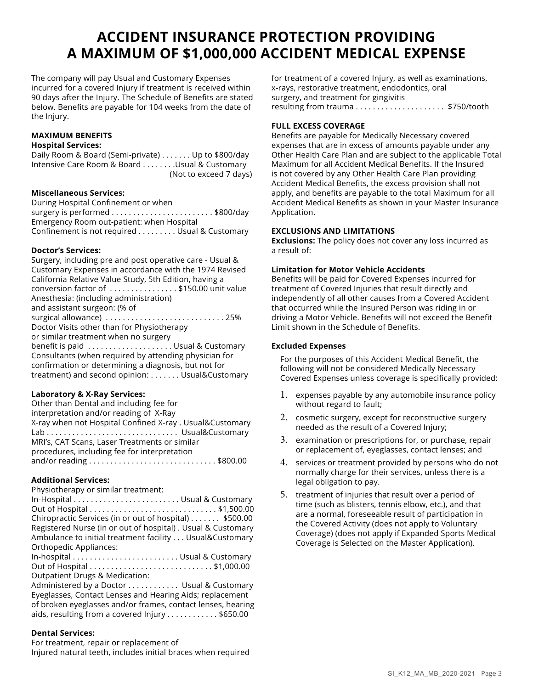## **ACCIDENT INSURANCE PROTECTION PROVIDING A MAXIMUM OF \$1,000,000 ACCIDENT MEDICAL EXPENSE**

The company will pay Usual and Customary Expenses incurred for a covered Injury if treatment is received within 90 days after the Injury. The Schedule of Benefits are stated below. Benefits are payable for 104 weeks from the date of the Injury.

#### **MAXIMUM BENEFITS Hospital Services:**

Daily Room & Board (Semi-private) . . . . . . . Up to \$800/day Intensive Care Room & Board . . . . . . . . Usual & Customary (Not to exceed 7 days)

#### **Miscellaneous Services:**

During Hospital Confinement or when surgery is performed . . . . . . . . . . . . . . . . . . . . . . . . \$800/day Emergency Room out-patient: when Hospital Confinement is not required . . . . . . . . . Usual & Customary

#### **Doctor's Services:**

Surgery, including pre and post operative care - Usual & Customary Expenses in accordance with the 1974 Revised California Relative Value Study, 5th Edition, having a conversion factor of . . . . . . . . . . . . . . . . \$150.00 unit value Anesthesia: (including administration) and assistant surgeon: (% of surgical allowance) . . . . . . . . . . . . . . . . . . . . . . . . . . . . 25% Doctor Visits other than for Physiotherapy or similar treatment when no surgery benefit is paid . . . . . . . . . . . . . . . . . . . . Usual & Customary Consultants (when required by attending physician for confirmation or determining a diagnosis, but not for treatment) and second opinion: . . . . . . . Usual&Customary

#### **Laboratory & X-Ray Services:**

| Other than Dental and including fee for                  |
|----------------------------------------------------------|
| interpretation and/or reading of X-Ray                   |
| X-ray when not Hospital Confined X-ray . Usual&Customary |
| Lab  Usual&Customary                                     |
| MRI's, CAT Scans, Laser Treatments or similar            |
| procedures, including fee for interpretation             |
|                                                          |

#### **Additional Services:**

Physiotherapy or similar treatment:

In-Hospital . . . . . . . . . . . . . . . . . . . . . . . . . Usual & Customary Out of Hospital . . . . . . . . . . . . . . . . . . . . . . . . . . . . . . \$1,500.00 Chiropractic Services (in or out of hospital) . . . . . . . \$500.00 Registered Nurse (in or out of hospital) . Usual & Customary Ambulance to initial treatment facility . . . Usual&Customary Orthopedic Appliances: In-hospital . . . . . . . . . . . . . . . . . . . . . . . . . Usual & Customary Out of Hospital . . . . . . . . . . . . . . . . . . . . . . . . . . . . . \$1,000.00 Outpatient Drugs & Medication: Administered by a Doctor . . . . . . . . . . . . Usual & Customary Eyeglasses, Contact Lenses and Hearing Aids; replacement of broken eyeglasses and/or frames, contact lenses, hearing

### aids, resulting from a covered Injury . . . . . . . . . . . \$650.00

#### **Dental Services:**

For treatment, repair or replacement of Injured natural teeth, includes initial braces when required

for treatment of a covered Injury, as well as examinations, x-rays, restorative treatment, endodontics, oral surgery, and treatment for gingivitis resulting from trauma . . . . . . . . . . . . . . . . . . . . . \$750/tooth

#### **FULL EXCESS COVERAGE**

Benefits are payable for Medically Necessary covered expenses that are in excess of amounts payable under any Other Health Care Plan and are subject to the applicable Total Maximum for all Accident Medical Benefits. If the Insured is not covered by any Other Health Care Plan providing Accident Medical Benefits, the excess provision shall not apply, and benefits are payable to the total Maximum for all Accident Medical Benefits as shown in your Master Insurance Application.

#### **EXCLUSIONS AND LIMITATIONS**

**Exclusions:** The policy does not cover any loss incurred as a result of:

#### **Limitation for Motor Vehicle Accidents**

Benefits will be paid for Covered Expenses incurred for treatment of Covered Injuries that result directly and independently of all other causes from a Covered Accident that occurred while the Insured Person was riding in or driving a Motor Vehicle. Benefits will not exceed the Benefit Limit shown in the Schedule of Benefits.

#### **Excluded Expenses**

For the purposes of this Accident Medical Benefit, the following will not be considered Medically Necessary Covered Expenses unless coverage is specifically provided:

- 1. expenses payable by any automobile insurance policy without regard to fault;
- 2. cosmetic surgery, except for reconstructive surgery needed as the result of a Covered Injury;
- 3. examination or prescriptions for, or purchase, repair or replacement of, eyeglasses, contact lenses; and
- 4. services or treatment provided by persons who do not normally charge for their services, unless there is a legal obligation to pay.
- 5. treatment of injuries that result over a period of time (such as blisters, tennis elbow, etc.), and that are a normal, foreseeable result of participation in the Covered Activity (does not apply to Voluntary Coverage) (does not apply if Expanded Sports Medical Coverage is Selected on the Master Application).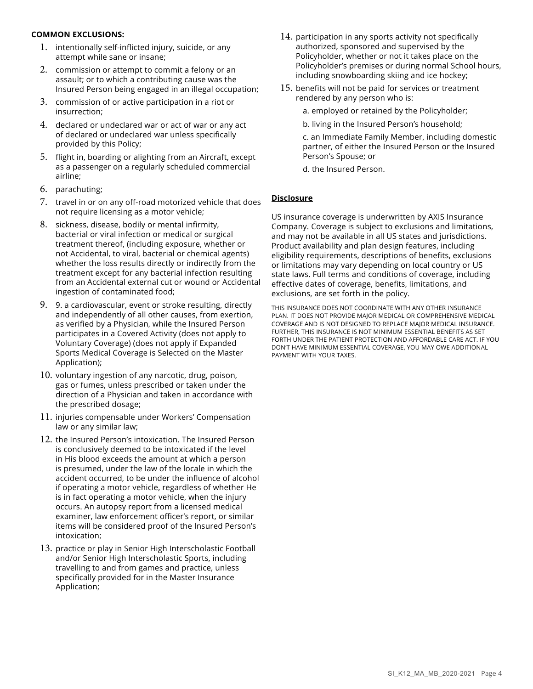#### **COMMON EXCLUSIONS:**

- 1. intentionally self-inflicted injury, suicide, or any attempt while sane or insane;
- 2. commission or attempt to commit a felony or an assault; or to which a contributing cause was the Insured Person being engaged in an illegal occupation;
- 3. commission of or active participation in a riot or insurrection;
- 4. declared or undeclared war or act of war or any act of declared or undeclared war unless specifically provided by this Policy;
- 5. flight in, boarding or alighting from an Aircraft, except as a passenger on a regularly scheduled commercial airline;
- 6. parachuting;
- 7. travel in or on any off-road motorized vehicle that does not require licensing as a motor vehicle;
- 8. sickness, disease, bodily or mental infirmity, bacterial or viral infection or medical or surgical treatment thereof, (including exposure, whether or not Accidental, to viral, bacterial or chemical agents) whether the loss results directly or indirectly from the treatment except for any bacterial infection resulting from an Accidental external cut or wound or Accidental ingestion of contaminated food;
- 9. 9. a cardiovascular, event or stroke resulting, directly and independently of all other causes, from exertion, as verified by a Physician, while the Insured Person participates in a Covered Activity (does not apply to Voluntary Coverage) (does not apply if Expanded Sports Medical Coverage is Selected on the Master Application);
- 10. voluntary ingestion of any narcotic, drug, poison, gas or fumes, unless prescribed or taken under the direction of a Physician and taken in accordance with the prescribed dosage;
- 11. injuries compensable under Workers' Compensation law or any similar law;
- 12. the Insured Person's intoxication. The Insured Person is conclusively deemed to be intoxicated if the level in His blood exceeds the amount at which a person is presumed, under the law of the locale in which the accident occurred, to be under the influence of alcohol if operating a motor vehicle, regardless of whether He is in fact operating a motor vehicle, when the injury occurs. An autopsy report from a licensed medical examiner, law enforcement officer's report, or similar items will be considered proof of the Insured Person's intoxication;
- 13. practice or play in Senior High Interscholastic Football and/or Senior High Interscholastic Sports, including travelling to and from games and practice, unless specifically provided for in the Master Insurance Application;
- 14. participation in any sports activity not specifically authorized, sponsored and supervised by the Policyholder, whether or not it takes place on the Policyholder's premises or during normal School hours, including snowboarding skiing and ice hockey;
- 15. benefits will not be paid for services or treatment rendered by any person who is:
	- a. employed or retained by the Policyholder;
	- b. living in the Insured Person's household;

c. an Immediate Family Member, including domestic partner, of either the Insured Person or the Insured Person's Spouse; or

d. the Insured Person.

#### **Disclosure**

US insurance coverage is underwritten by AXIS Insurance Company. Coverage is subject to exclusions and limitations, and may not be available in all US states and jurisdictions. Product availability and plan design features, including eligibility requirements, descriptions of benefits, exclusions or limitations may vary depending on local country or US state laws. Full terms and conditions of coverage, including effective dates of coverage, benefits, limitations, and exclusions, are set forth in the policy.

THIS INSURANCE DOES NOT COORDINATE WITH ANY OTHER INSURANCE PLAN. IT DOES NOT PROVIDE MAJOR MEDICAL OR COMPREHENSIVE MEDICAL COVERAGE AND IS NOT DESIGNED TO REPLACE MAJOR MEDICAL INSURANCE. FURTHER, THIS INSURANCE IS NOT MINIMUM ESSENTIAL BENEFITS AS SET FORTH UNDER THE PATIENT PROTECTION AND AFFORDABLE CARE ACT. IF YOU DON'T HAVE MINIMUM ESSENTIAL COVERAGE, YOU MAY OWE ADDITIONAL PAYMENT WITH YOUR TAXES.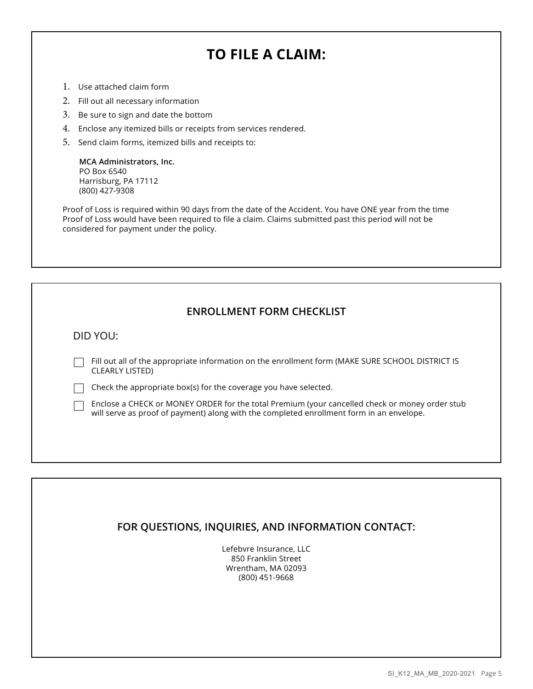# **TO FILE A CLAIM:**

- 1. Use attached claim form
- 2. Fill out all necessary information
- 3. Be sure to sign and date the bottom
- 4. Enclose any itemized bills or receipts from services rendered.
- 5. Send claim forms, itemized bills and receipts to:

**MCA Administrators, Inc.** PO Box 6540 Harrisburg, PA 17112 (800) 427-9308

Proof of Loss is required within 90 days from the date of the Accident. You have ONE year from the time Proof of Loss would have been required to file a claim. Claims submitted past this period will not be considered for payment under the policy.

#### **ENROLLMENT FORM CHECKLIST**

DID YOU:

Fill out all of the appropriate information on the enrollment form (MAKE SURE SCHOOL DISTRICT IS CLEARLY LISTED)

 $\Box$  Check the appropriate box(s) for the coverage you have selected.

Enclose a CHECK or MONEY ORDER for the total Premium (your cancelled check or money order stub will serve as proof of payment) along with the completed enrollment form in an envelope.

#### **FOR QUESTIONS, INQUIRIES, AND INFORMATION CONTACT:**

Lefebvre Insurance, LLC 850 Franklin Street Wrentham, MA 02093 (800) 451-9668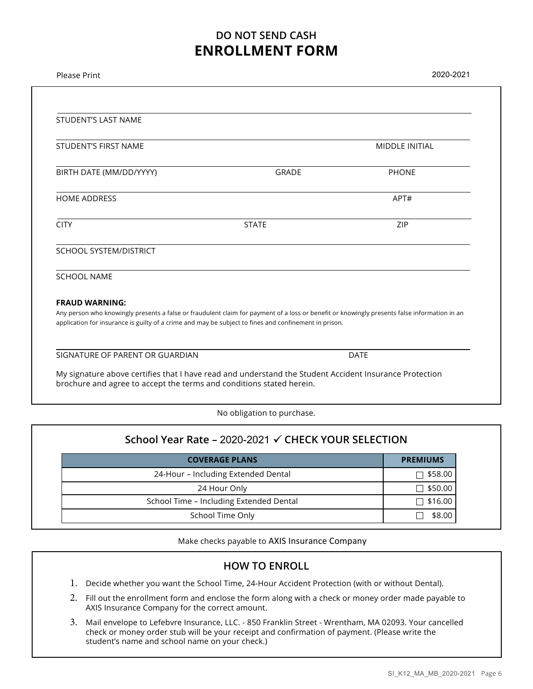### **DO NOT SEND CASH ENROLLMENT FORM**

| <b>STUDENT'S LAST NAME</b>                                                                                                                                                                                                                                                     |              |                       |
|--------------------------------------------------------------------------------------------------------------------------------------------------------------------------------------------------------------------------------------------------------------------------------|--------------|-----------------------|
| <b>STUDENT'S FIRST NAME</b>                                                                                                                                                                                                                                                    |              | <b>MIDDLE INITIAL</b> |
| BIRTH DATE (MM/DD/YYYY)                                                                                                                                                                                                                                                        | GRADE        | <b>PHONE</b>          |
| <b>HOME ADDRESS</b>                                                                                                                                                                                                                                                            |              | APT#                  |
| <b>CITY</b>                                                                                                                                                                                                                                                                    | <b>STATE</b> | ZIP                   |
| <b>SCHOOL SYSTEM/DISTRICT</b>                                                                                                                                                                                                                                                  |              |                       |
| <b>SCHOOL NAME</b>                                                                                                                                                                                                                                                             |              |                       |
| <b>FRAUD WARNING:</b><br>Any person who knowingly presents a false or fraudulent claim for payment of a loss or benefit or knowingly presents false information in an<br>application for insurance is guilty of a crime and may be subject to fines and confinement in prison. |              |                       |
| SIGNATURE OF PARENT OR GUARDIAN                                                                                                                                                                                                                                                |              | <b>DATE</b>           |
| My signature above certifies that I have read and understand the Student Accident Insurance Protection<br>brochure and agree to accept the terms and conditions stated herein.                                                                                                 |              |                       |

No obligation to purchase.

| School Year Rate - 2020-2021 √ CHECK YOUR SELECTION |  |  |  |  |  |
|-----------------------------------------------------|--|--|--|--|--|
| <b>PREMIUMS</b>                                     |  |  |  |  |  |
| $\Box$ \$58.00                                      |  |  |  |  |  |
| $\Box$ \$50.00                                      |  |  |  |  |  |
| $\Box$ \$16.00                                      |  |  |  |  |  |
| \$8.00                                              |  |  |  |  |  |
|                                                     |  |  |  |  |  |

Make checks payable to AXIS Insurance Company

#### **HOW TO ENROLL**

- 1. Decide whether you want the School Time, 24-Hour Accident Protection (with or without Dental).
- 2. Fill out the enrollment form and enclose the form along with a check or money order made payable to AXIS Insurance Company for the correct amount.
- 3. Mail envelope to Lefebvre Insurance, LLC. 850 Franklin Street Wrentham, MA 02093. Your cancelled check or money order stub will be your receipt and confirmation of payment. (Please write the student's name and school name on your check.)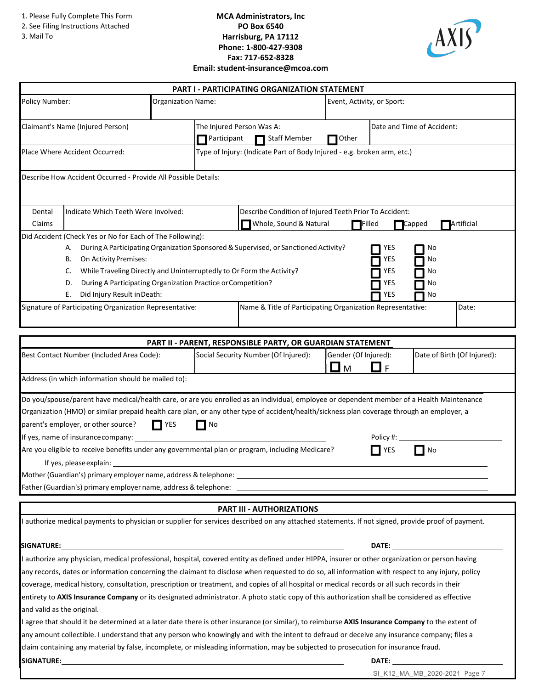1. Please Fully Complete This Form

- 2. See Filing Instructions Attached
- 3. Mail To

#### **MCA Administrators, Inc PO Box 6540 Harrisburg, PA 17112 Phone: 1-800-427-9308 Fax: 717-652-8328 Email: student-insurance@mcoa.com**



|                                                                                                                                                |                                                                                                                                                                                                                                                                                                                                                                                                                                                                                                     |                                                         |                                                  | <b>PART I - PARTICIPATING ORGANIZATION STATEMENT</b>                                                                                     |                            |                                        |                                                                                                                                                                                                                                |  |
|------------------------------------------------------------------------------------------------------------------------------------------------|-----------------------------------------------------------------------------------------------------------------------------------------------------------------------------------------------------------------------------------------------------------------------------------------------------------------------------------------------------------------------------------------------------------------------------------------------------------------------------------------------------|---------------------------------------------------------|--------------------------------------------------|------------------------------------------------------------------------------------------------------------------------------------------|----------------------------|----------------------------------------|--------------------------------------------------------------------------------------------------------------------------------------------------------------------------------------------------------------------------------|--|
| Policy Number:                                                                                                                                 |                                                                                                                                                                                                                                                                                                                                                                                                                                                                                                     | Event, Activity, or Sport:<br><b>Organization Name:</b> |                                                  |                                                                                                                                          |                            |                                        |                                                                                                                                                                                                                                |  |
| Claimant's Name (Injured Person)                                                                                                               |                                                                                                                                                                                                                                                                                                                                                                                                                                                                                                     | Participant                                             | The Injured Person Was A:<br><b>Staff Member</b> |                                                                                                                                          |                            | Date and Time of Accident:             |                                                                                                                                                                                                                                |  |
|                                                                                                                                                | Place Where Accident Occurred:                                                                                                                                                                                                                                                                                                                                                                                                                                                                      |                                                         |                                                  | Type of Injury: (Indicate Part of Body Injured - e.g. broken arm, etc.)                                                                  | Other                      |                                        |                                                                                                                                                                                                                                |  |
|                                                                                                                                                |                                                                                                                                                                                                                                                                                                                                                                                                                                                                                                     |                                                         |                                                  |                                                                                                                                          |                            |                                        |                                                                                                                                                                                                                                |  |
|                                                                                                                                                | Describe How Accident Occurred - Provide All Possible Details:                                                                                                                                                                                                                                                                                                                                                                                                                                      |                                                         |                                                  |                                                                                                                                          |                            |                                        |                                                                                                                                                                                                                                |  |
| Indicate Which Teeth Were Involved:<br>Dental<br>Claims                                                                                        |                                                                                                                                                                                                                                                                                                                                                                                                                                                                                                     |                                                         |                                                  | Describe Condition of Injured Teeth Prior To Accident:<br>Whole, Sound & Natural<br>Artificial<br>$\Box$ Filled<br>$\blacksquare$ Capped |                            |                                        |                                                                                                                                                                                                                                |  |
|                                                                                                                                                | Did Accident (Check Yes or No for Each of The Following):<br>А.<br>On Activity Premises:<br>В.<br>While Traveling Directly and Uninterruptedly to Or Form the Activity?<br>C.<br>During A Participating Organization Practice or Competition?<br>D.<br>Did Injury Result in Death:<br>Е.                                                                                                                                                                                                            |                                                         |                                                  | During A Participating Organization Sponsored & Supervised, or Sanctioned Activity?                                                      |                            | YES<br><b>YES</b><br>YES<br>YES<br>YES | Νo<br>Νo<br>No<br>No<br>No                                                                                                                                                                                                     |  |
|                                                                                                                                                | Signature of Participating Organization Representative:                                                                                                                                                                                                                                                                                                                                                                                                                                             |                                                         |                                                  | Name & Title of Participating Organization Representative:                                                                               |                            |                                        | Date:                                                                                                                                                                                                                          |  |
|                                                                                                                                                |                                                                                                                                                                                                                                                                                                                                                                                                                                                                                                     |                                                         |                                                  |                                                                                                                                          |                            |                                        |                                                                                                                                                                                                                                |  |
|                                                                                                                                                |                                                                                                                                                                                                                                                                                                                                                                                                                                                                                                     |                                                         |                                                  | <b>PART II - PARENT, RESPONSIBLE PARTY, OR GUARDIAN STATEMENT</b>                                                                        |                            |                                        |                                                                                                                                                                                                                                |  |
|                                                                                                                                                | Best Contact Number (Included Area Code):                                                                                                                                                                                                                                                                                                                                                                                                                                                           |                                                         |                                                  | Social Security Number (Of Injured):                                                                                                     | Gender (Of Injured):<br>■м | l 1<br>$\mathsf{F}$                    | Date of Birth (Of Injured):                                                                                                                                                                                                    |  |
|                                                                                                                                                | Address (in which information should be mailed to):                                                                                                                                                                                                                                                                                                                                                                                                                                                 |                                                         |                                                  |                                                                                                                                          |                            |                                        |                                                                                                                                                                                                                                |  |
|                                                                                                                                                | Do you/spouse/parent have medical/health care, or are you enrolled as an individual, employee or dependent member of a Health Maintenance<br>Organization (HMO) or similar prepaid health care plan, or any other type of accident/health/sickness plan coverage through an employer, a<br>parent's employer, or other source?<br>If yes, name of insurance company:<br>Are you eligible to receive benefits under any governmental plan or program, including Medicare?<br>If yes, please explain: | <b>TYES</b>                                             | No                                               |                                                                                                                                          |                            | Policy #:<br>YES                       | No                                                                                                                                                                                                                             |  |
|                                                                                                                                                |                                                                                                                                                                                                                                                                                                                                                                                                                                                                                                     |                                                         |                                                  |                                                                                                                                          |                            |                                        |                                                                                                                                                                                                                                |  |
|                                                                                                                                                |                                                                                                                                                                                                                                                                                                                                                                                                                                                                                                     |                                                         |                                                  |                                                                                                                                          |                            |                                        |                                                                                                                                                                                                                                |  |
|                                                                                                                                                |                                                                                                                                                                                                                                                                                                                                                                                                                                                                                                     |                                                         |                                                  | <b>PART III - AUTHORIZATIONS</b>                                                                                                         |                            |                                        |                                                                                                                                                                                                                                |  |
|                                                                                                                                                | I authorize medical payments to physician or supplier for services described on any attached statements. If not signed, provide proof of payment.                                                                                                                                                                                                                                                                                                                                                   |                                                         |                                                  |                                                                                                                                          |                            |                                        |                                                                                                                                                                                                                                |  |
| <b>SIGNATURE:</b>                                                                                                                              |                                                                                                                                                                                                                                                                                                                                                                                                                                                                                                     |                                                         |                                                  |                                                                                                                                          |                            |                                        | DATE: the contract of the contract of the contract of the contract of the contract of the contract of the contract of the contract of the contract of the contract of the contract of the contract of the contract of the cont |  |
|                                                                                                                                                | I authorize any physician, medical professional, hospital, covered entity as defined under HIPPA, insurer or other organization or person having                                                                                                                                                                                                                                                                                                                                                    |                                                         |                                                  |                                                                                                                                          |                            |                                        |                                                                                                                                                                                                                                |  |
|                                                                                                                                                | any records, dates or information concerning the claimant to disclose when requested to do so, all information with respect to any injury, policy                                                                                                                                                                                                                                                                                                                                                   |                                                         |                                                  |                                                                                                                                          |                            |                                        |                                                                                                                                                                                                                                |  |
| coverage, medical history, consultation, prescription or treatment, and copies of all hospital or medical records or all such records in their |                                                                                                                                                                                                                                                                                                                                                                                                                                                                                                     |                                                         |                                                  |                                                                                                                                          |                            |                                        |                                                                                                                                                                                                                                |  |
| and valid as the original.                                                                                                                     | entirety to AXIS Insurance Company or its designated administrator. A photo static copy of this authorization shall be considered as effective                                                                                                                                                                                                                                                                                                                                                      |                                                         |                                                  |                                                                                                                                          |                            |                                        |                                                                                                                                                                                                                                |  |
|                                                                                                                                                | agree that should it be determined at a later date there is other insurance (or similar), to reimburse AXIS Insurance Company to the extent of                                                                                                                                                                                                                                                                                                                                                      |                                                         |                                                  |                                                                                                                                          |                            |                                        |                                                                                                                                                                                                                                |  |
|                                                                                                                                                | any amount collectible. I understand that any person who knowingly and with the intent to defraud or deceive any insurance company; files a                                                                                                                                                                                                                                                                                                                                                         |                                                         |                                                  |                                                                                                                                          |                            |                                        |                                                                                                                                                                                                                                |  |
|                                                                                                                                                | claim containing any material by false, incomplete, or misleading information, may be subjected to prosecution for insurance fraud.                                                                                                                                                                                                                                                                                                                                                                 |                                                         |                                                  |                                                                                                                                          |                            |                                        |                                                                                                                                                                                                                                |  |
|                                                                                                                                                | <b>SIGNATURE:</b><br>DATE:                                                                                                                                                                                                                                                                                                                                                                                                                                                                          |                                                         |                                                  |                                                                                                                                          |                            |                                        |                                                                                                                                                                                                                                |  |

SI\_K12\_MA\_MB\_2020-2021 Page 7